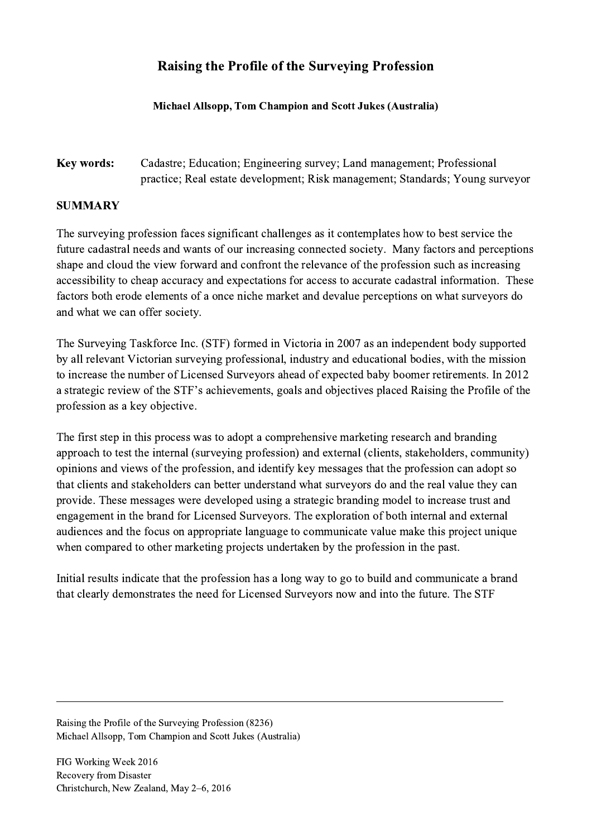## Raising the Profile of the Surveying Profession

## Michael Allsopp, Tom Champion and Scott Jukes (Australia)

## Key words: Cadastre; Education; Engineering survey; Land management; Professional practice; Real estate development; Risk management; Standards; Young surveyor

## SUMMARY

The surveying profession faces significant challenges as it contemplates how to best service the future cadastral needs and wants of our increasing connected society. Many factors and perceptions shape and cloud the view forward and confront the relevance of the profession such as increasing accessibility to cheap accuracy and expectations for access to accurate cadastral information. These factors both erode elements of a once niche market and devalue perceptions on what surveyors do and what we can offer society.

The Surveying Taskforce Inc. (STF) formed in Victoria in 2007 as an independent body supported by all relevant Victorian surveying professional, industry and educational bodies, with the mission to increase the number of Licensed Surveyors ahead of expected baby boomer retirements. In 2012 a strategic review of the STF's achievements, goals and objectives placed Raising the Profile of the profession as a key objective.

The first step in this process was to adopt a comprehensive marketing research and branding approach to test the internal (surveying profession) and external (clients, stakeholders, community) opinions and views of the profession, and identify key messages that the profession can adopt so that clients and stakeholders can better understand what surveyors do and the real value they can provide. These messages were developed using a strategic branding model to increase trust and engagement in the brand for Licensed Surveyors. The exploration of both internal and external audiences and the focus on appropriate language to communicate value make this project unique when compared to other marketing projects undertaken by the profession in the past.

Initial results indicate that the profession has a long way to go to build and communicate a brand that clearly demonstrates the need for Licensed Surveyors now and into the future. The STF

 $\mathcal{L}_\mathcal{L} = \{ \mathcal{L}_\mathcal{L} = \{ \mathcal{L}_\mathcal{L} = \{ \mathcal{L}_\mathcal{L} = \{ \mathcal{L}_\mathcal{L} = \{ \mathcal{L}_\mathcal{L} = \{ \mathcal{L}_\mathcal{L} = \{ \mathcal{L}_\mathcal{L} = \{ \mathcal{L}_\mathcal{L} = \{ \mathcal{L}_\mathcal{L} = \{ \mathcal{L}_\mathcal{L} = \{ \mathcal{L}_\mathcal{L} = \{ \mathcal{L}_\mathcal{L} = \{ \mathcal{L}_\mathcal{L} = \{ \mathcal{L}_\mathcal{$ 

Raising the Profile of the Surveying Profession (8236) Michael Allsopp, Tom Champion and Scott Jukes (Australia)

FIG Working Week 2016 Recovery from Disaster Christchurch, New Zealand, May 2–6, 2016